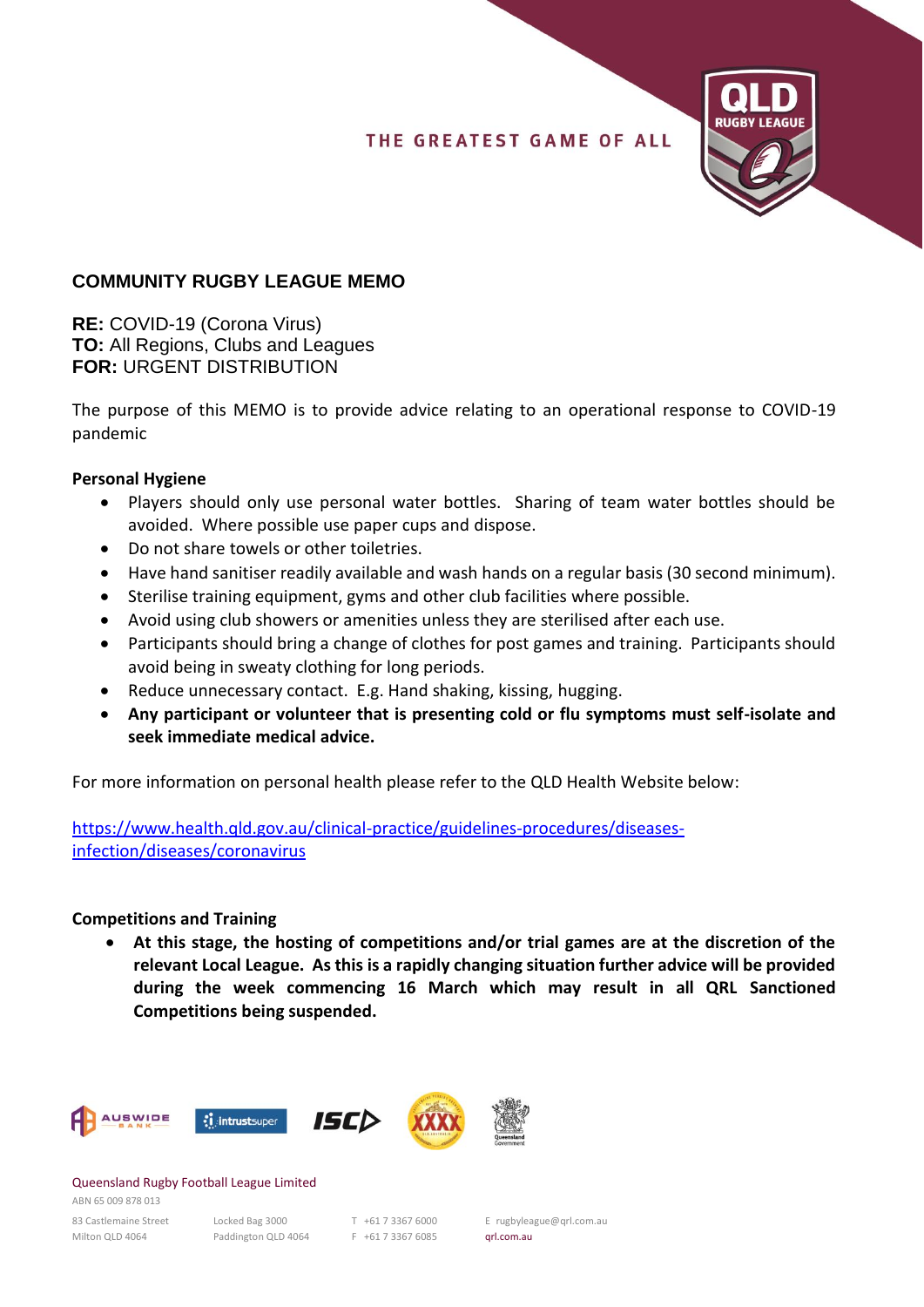## THE GREATEST GAME OF ALL



# **COMMUNITY RUGBY LEAGUE MEMO**

**RE:** COVID-19 (Corona Virus) **TO:** All Regions, Clubs and Leagues **FOR:** URGENT DISTRIBUTION

The purpose of this MEMO is to provide advice relating to an operational response to COVID-19 pandemic

### **Personal Hygiene**

- Players should only use personal water bottles. Sharing of team water bottles should be avoided. Where possible use paper cups and dispose.
- Do not share towels or other toiletries.
- Have hand sanitiser readily available and wash hands on a regular basis (30 second minimum).
- Sterilise training equipment, gyms and other club facilities where possible.
- Avoid using club showers or amenities unless they are sterilised after each use.
- Participants should bring a change of clothes for post games and training. Participants should avoid being in sweaty clothing for long periods.
- Reduce unnecessary contact. E.g. Hand shaking, kissing, hugging.
- **Any participant or volunteer that is presenting cold or flu symptoms must self-isolate and seek immediate medical advice.**

For more information on personal health please refer to the QLD Health Website below:

https://www.health.qld.gov.au/clinical-practice/guidelines-procedures/diseasesinfection/diseases/coronavirus

### **Competitions and Training**

• **At this stage, the hosting of competitions and/or trial games are at the discretion of the relevant Local League. As this is a rapidly changing situation further advice will be provided during the week commencing 16 March which may result in all QRL Sanctioned Competitions being suspended.** 



#### Queensland Rugby Football League Limited

ABN 65 009 878 013 Milton QLD 4064 Paddington QLD 4064 F +61 7 3367 6085 qrl.com.au

83 Castlemaine Street Locked Bag 3000 T +61 7 3367 6000 E rugbyleague@qrl.com.au